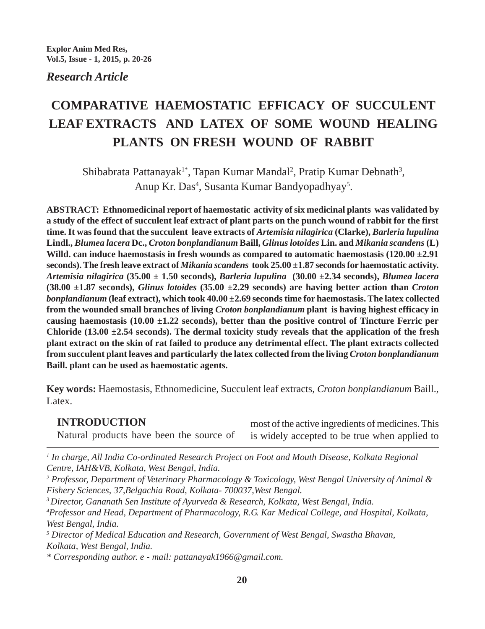*Research Article*

# **COMPARATIVE HAEMOSTATIC EFFICACY OF SUCCULENT LEAF EXTRACTS AND LATEX OF SOME WOUND HEALING PLANTS ON FRESH WOUND OF RABBIT**

Shibabrata Pattanayak<sup>1\*</sup>, Tapan Kumar Mandal<sup>2</sup>, Pratip Kumar Debnath<sup>3</sup>, Anup Kr. Das<sup>4</sup>, Susanta Kumar Bandyopadhyay<sup>5</sup>.

**ABSTRACT: Ethnomedicinal report of haemostatic activity of six medicinal plants was validated by a study of the effect of succulent leaf extract of plant parts on the punch wound of rabbit for the first time. It was found that the succulent leave extracts of** *Artemisia nilagirica* **(Clarke),** *Barleria lupulina* **Lindl.,** *Blumea lacera* **Dc.,** *Croton bonplandianum* **Baill,** *Glinus lotoides* **Lin. and** *Mikania scandens* **(L) Willd. can induce haemostasis in fresh wounds as compared to automatic haemostasis (120.00 ±2.91 seconds). The fresh leave extract of** *Mikania scandens* **took 25.00 ±1.87 seconds for haemostatic activity.** *Artemisia nilagirica* **(35.00 ± 1.50 seconds),** *Barleria lupulina* **(30.00 ±2.34 seconds),** *Blumea lacera* **(38.00 ±1.87 seconds),** *Glinus lotoides* **(35.00 ±2.29 seconds) are having better action than** *Croton bonplandianum* **(leaf extract), which took 40.00 ±2.69 seconds time for haemostasis. The latex collected from the wounded small branches of living** *Croton bonplandianum* **plant is having highest efficacy in causing haemostasis (10.00 ±1.22 seconds), better than the positive control of Tincture Ferric per Chloride (13.00 ±2.54 seconds). The dermal toxicity study reveals that the application of the fresh plant extract on the skin of rat failed to produce any detrimental effect. The plant extracts collected from succulent plant leaves and particularly the latex collected from the living** *Croton bonplandianum* **Baill. plant can be used as haemostatic agents.**

**Key words:** Haemostasis, Ethnomedicine, Succulent leaf extracts, *Croton bonplandianum* Baill., Latex.

# **INTRODUCTION**

Natural products have been the source of

most of the active ingredients of medicines. This is widely accepted to be true when applied to

*1 In charge, All India Co-ordinated Research Project on Foot and Mouth Disease, Kolkata Regional Centre, IAH&VB, Kolkata, West Bengal, India.*

*2 Professor, Department of Veterinary Pharmacology & Toxicology, West Bengal University of Animal & Fishery Sciences, 37,Belgachia Road, Kolkata- 700037,West Bengal.*

*3 Director, Gananath Sen Institute of Ayurveda & Research, Kolkata, West Bengal, India.*

*4 Professor and Head, Department of Pharmacology, R.G. Kar Medical College, and Hospital, Kolkata, West Bengal, India.*

*5 Director of Medical Education and Research, Government of West Bengal, Swastha Bhavan, Kolkata, West Bengal, India.*

*\* Corresponding author. e - mail: pattanayak1966@gmail.com.*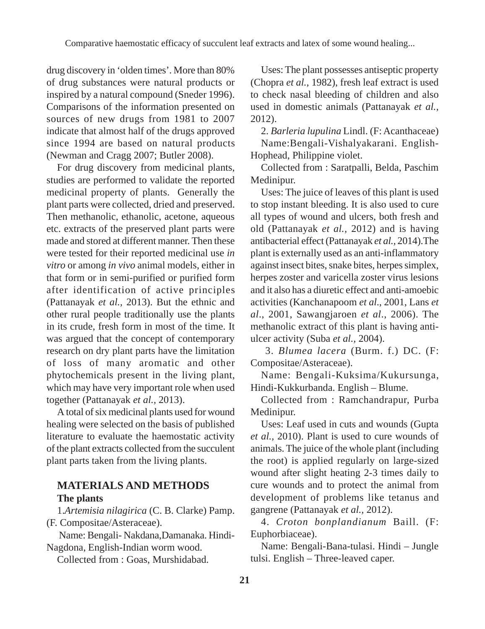drug discovery in 'olden times'. More than 80% of drug substances were natural products or inspired by a natural compound (Sneder 1996). Comparisons of the information presented on sources of new drugs from 1981 to 2007 indicate that almost half of the drugs approved since 1994 are based on natural products (Newman and Cragg 2007; Butler 2008).

For drug discovery from medicinal plants, studies are performed to validate the reported medicinal property of plants. Generally the plant parts were collected, dried and preserved. Then methanolic, ethanolic, acetone, aqueous etc. extracts of the preserved plant parts were made and stored at different manner. Then these were tested for their reported medicinal use *in vitro* or among *in vivo* animal models, either in that form or in semi-purified or purified form after identification of active principles (Pattanayak *et al.,* 2013). But the ethnic and other rural people traditionally use the plants in its crude, fresh form in most of the time. It was argued that the concept of contemporary research on dry plant parts have the limitation of loss of many aromatic and other phytochemicals present in the living plant, which may have very important role when used together (Pattanayak *et al.,* 2013).

A total of six medicinal plants used for wound healing were selected on the basis of published literature to evaluate the haemostatic activity of the plant extracts collected from the succulent plant parts taken from the living plants.

# **MATERIALS AND METHODS The plants**

1.*Artemisia nilagirica* (C. B. Clarke) Pamp. (F. Compositae/Asteraceae).

 Name: Bengali- Nakdana,Damanaka. Hindi-Nagdona, English-Indian worm wood.

Collected from : Goas, Murshidabad.

Uses: The plant possesses antiseptic property (Chopra *et al.,* 1982), fresh leaf extract is used to check nasal bleeding of children and also used in domestic animals (Pattanayak *et al.,* 2012).

2. *Barleria lupulina* Lindl. (F: Acanthaceae) Name:Bengali-Vishalyakarani. English-Hophead, Philippine violet.

Collected from : Saratpalli, Belda, Paschim Medinipur.

Uses: The juice of leaves of this plant is used to stop instant bleeding. It is also used to cure all types of wound and ulcers, both fresh and old (Pattanayak *et al.,* 2012) and is having antibacterial effect (Pattanayak *et al.,* 2014).The plant is externally used as an anti-inflammatory against insect bites, snake bites, herpes simplex, herpes zoster and varicella zoster virus lesions and it also has a diuretic effect and anti-amoebic activities (Kanchanapoom *et al*., 2001, Lans *et al*., 2001, Sawangjaroen *et al*., 2006). The methanolic extract of this plant is having antiulcer activity (Suba *et al.,* 2004).

 3. *Blumea lacera* (Burm. f.) DC. (F: Compositae/Asteraceae).

Name: Bengali-Kuksima/Kukursunga, Hindi-Kukkurbanda. English – Blume.

Collected from : Ramchandrapur, Purba Medinipur.

Uses: Leaf used in cuts and wounds (Gupta *et al.,* 2010). Plant is used to cure wounds of animals. The juice of the whole plant (including the root) is applied regularly on large-sized wound after slight heating 2-3 times daily to cure wounds and to protect the animal from development of problems like tetanus and gangrene (Pattanayak *et al.,* 2012).

4. *Croton bonplandianum* Baill. (F: Euphorbiaceae).

Name: Bengali-Bana-tulasi. Hindi – Jungle tulsi. English – Three-leaved caper.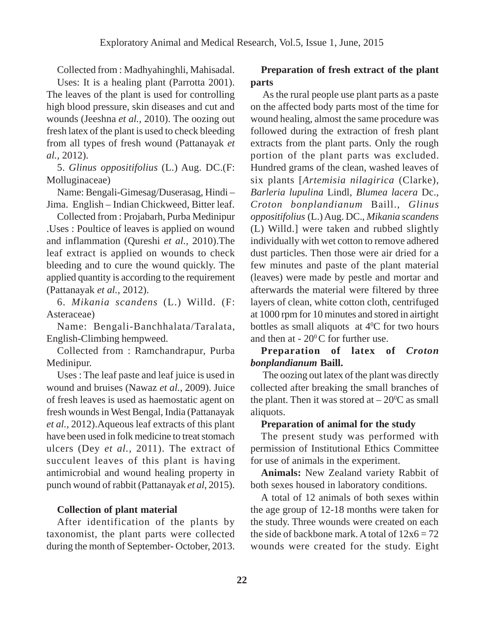Collected from : Madhyahinghli, Mahisadal.

Uses: It is a healing plant (Parrotta 2001). The leaves of the plant is used for controlling high blood pressure, skin diseases and cut and wounds (Jeeshna *et al.,* 2010). The oozing out fresh latex of the plant is used to check bleeding from all types of fresh wound (Pattanayak *et al.,* 2012).

5. *Glinus oppositifolius* (L.) Aug. DC.(F: Molluginaceae)

Name: Bengali-Gimesag/Duserasag, Hindi – Jima. English – Indian Chickweed, Bitter leaf.

Collected from : Projabarh, Purba Medinipur .Uses : Poultice of leaves is applied on wound and inflammation (Qureshi *et al.,* 2010).The leaf extract is applied on wounds to check bleeding and to cure the wound quickly. The applied quantity is according to the requirement (Pattanayak *et al.,* 2012).

6. *Mikania scandens* (L.) Willd. (F: Asteraceae)

Name: Bengali-Banchhalata/Taralata, English-Climbing hempweed.

Collected from : Ramchandrapur, Purba Medinipur.

Uses : The leaf paste and leaf juice is used in wound and bruises (Nawaz *et al.,* 2009). Juice of fresh leaves is used as haemostatic agent on fresh wounds in West Bengal, India (Pattanayak *et al.,* 2012).Aqueous leaf extracts of this plant have been used in folk medicine to treat stomach ulcers (Dey *et al.,* 2011). The extract of succulent leaves of this plant is having antimicrobial and wound healing property in punch wound of rabbit (Pattanayak *et al*, 2015).

#### **Collection of plant material**

After identification of the plants by taxonomist, the plant parts were collected during the month of September- October, 2013.

## **Preparation of fresh extract of the plant parts**

 As the rural people use plant parts as a paste on the affected body parts most of the time for wound healing, almost the same procedure was followed during the extraction of fresh plant extracts from the plant parts. Only the rough portion of the plant parts was excluded. Hundred grams of the clean, washed leaves of six plants [*Artemisia nilagirica* (Clarke), *Barleria lupulina* Lindl, *Blumea lacera* Dc., *Croton bonplandianum* Baill., *Glinus oppositifolius* (L.) Aug. DC., *Mikania scandens* (L) Willd.] were taken and rubbed slightly individually with wet cotton to remove adhered dust particles. Then those were air dried for a few minutes and paste of the plant material (leaves) were made by pestle and mortar and afterwards the material were filtered by three layers of clean, white cotton cloth, centrifuged at 1000 rpm for 10 minutes and stored in airtight bottles as small aliquots at  $4^{\circ}$ C for two hours and then at  $-20^{\circ}$ C for further use.

## **Preparation of latex of** *Croton bonplandianum* **Baill.**

 The oozing out latex of the plant was directly collected after breaking the small branches of the plant. Then it was stored at  $-20^{\circ}$ C as small aliquots.

#### **Preparation of animal for the study**

The present study was performed with permission of Institutional Ethics Committee for use of animals in the experiment.

**Animals:** New Zealand variety Rabbit of both sexes housed in laboratory conditions.

A total of 12 animals of both sexes within the age group of 12-18 months were taken for the study. Three wounds were created on each the side of backbone mark. A total of  $12x6 = 72$ wounds were created for the study. Eight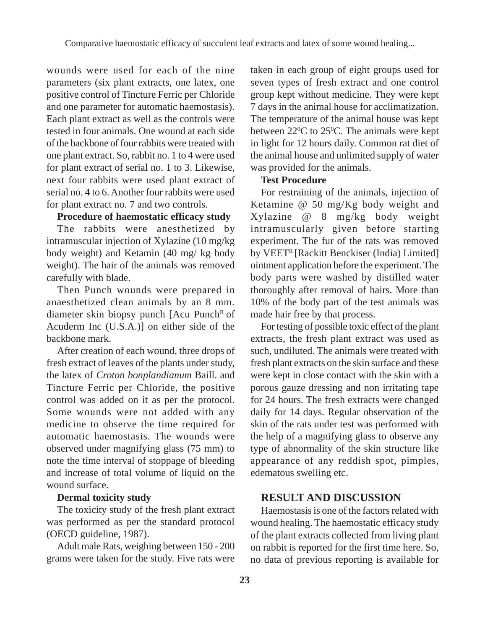wounds were used for each of the nine parameters (six plant extracts, one latex, one positive control of Tincture Ferric per Chloride and one parameter for automatic haemostasis). Each plant extract as well as the controls were tested in four animals. One wound at each side of the backbone of four rabbits were treated with one plant extract. So, rabbit no. 1 to 4 were used for plant extract of serial no. 1 to 3. Likewise, next four rabbits were used plant extract of serial no. 4 to 6. Another four rabbits were used for plant extract no. 7 and two controls.

## **Procedure of haemostatic efficacy study**

The rabbits were anesthetized by intramuscular injection of Xylazine (10 mg/kg body weight) and Ketamin (40 mg/ kg body weight). The hair of the animals was removed carefully with blade.

Then Punch wounds were prepared in anaesthetized clean animals by an 8 mm. diameter skin biopsy punch  $[Acu$  Punch<sup>R</sup> of Acuderm Inc (U.S.A.)] on either side of the backbone mark.

After creation of each wound, three drops of fresh extract of leaves of the plants under study, the latex of *Croton bonplandianum* Baill. and Tincture Ferric per Chloride, the positive control was added on it as per the protocol. Some wounds were not added with any medicine to observe the time required for automatic haemostasis. The wounds were observed under magnifying glass (75 mm) to note the time interval of stoppage of bleeding and increase of total volume of liquid on the wound surface.

# **Dermal toxicity study**

The toxicity study of the fresh plant extract was performed as per the standard protocol (OECD guideline, 1987).

Adult male Rats, weighing between 150 - 200 grams were taken for the study. Five rats were taken in each group of eight groups used for seven types of fresh extract and one control group kept without medicine. They were kept 7 days in the animal house for acclimatization. The temperature of the animal house was kept between  $22^{\circ}$ C to  $25^{\circ}$ C. The animals were kept in light for 12 hours daily. Common rat diet of the animal house and unlimited supply of water was provided for the animals.

## **Test Procedure**

For restraining of the animals, injection of Ketamine @ 50 mg/Kg body weight and Xylazine @ 8 mg/kg body weight intramuscularly given before starting experiment. The fur of the rats was removed by VEET<sup>R</sup> [Rackitt Benckiser (India) Limited] ointment application before the experiment. The body parts were washed by distilled water thoroughly after removal of hairs. More than 10% of the body part of the test animals was made hair free by that process.

For testing of possible toxic effect of the plant extracts, the fresh plant extract was used as such, undiluted. The animals were treated with fresh plant extracts on the skin surface and these were kept in close contact with the skin with a porous gauze dressing and non irritating tape for 24 hours. The fresh extracts were changed daily for 14 days. Regular observation of the skin of the rats under test was performed with the help of a magnifying glass to observe any type of abnormality of the skin structure like appearance of any reddish spot, pimples, edematous swelling etc.

## **RESULT AND DISCUSSION**

Haemostasis is one of the factors related with wound healing. The haemostatic efficacy study of the plant extracts collected from living plant on rabbit is reported for the first time here. So, no data of previous reporting is available for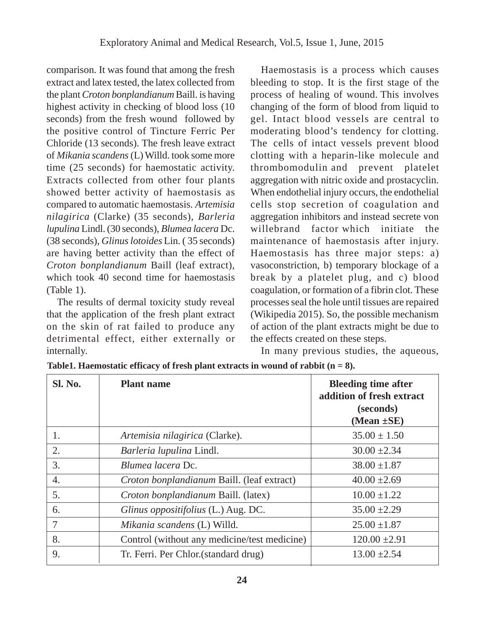comparison. It was found that among the fresh extract and latex tested, the latex collected from the plant *Croton bonplandianum* Baill. is having highest activity in checking of blood loss (10 seconds) from the fresh wound followed by the positive control of Tincture Ferric Per Chloride (13 seconds). The fresh leave extract of *Mikania scandens* (L) Willd. took some more time (25 seconds) for haemostatic activity. Extracts collected from other four plants showed better activity of haemostasis as compared to automatic haemostasis. *Artemisia nilagirica* (Clarke) (35 seconds), *Barleria lupulina* Lindl. (30 seconds), *Blumea lacera* Dc. (38 seconds), *Glinus lotoides* Lin. ( 35 seconds) are having better activity than the effect of *Croton bonplandianum* Baill (leaf extract), which took 40 second time for haemostasis (Table 1).

The results of dermal toxicity study reveal that the application of the fresh plant extract on the skin of rat failed to produce any detrimental effect, either externally or internally.

Haemostasis is a process which causes bleeding to stop. It is the first stage of the process of healing of wound. This involves changing of the form of blood from liquid to gel. Intact blood vessels are central to moderating blood's tendency for clotting. The cells of intact vessels prevent blood clotting with a heparin-like molecule and thrombomodulin and prevent platelet aggregation with nitric oxide and prostacyclin. When endothelial injury occurs, the endothelial cells stop secretion of coagulation and aggregation inhibitors and instead secrete von willebrand factor which initiate the maintenance of haemostasis after injury. Haemostasis has three major steps: a) vasoconstriction, b) temporary blockage of a break by a platelet plug, and c) blood coagulation, or formation of a fibrin clot. These processes seal the hole until tissues are repaired (Wikipedia 2015). So, the possible mechanism of action of the plant extracts might be due to the effects created on these steps.

In many previous studies, the aqueous,

| Sl. No. | <b>Plant name</b>                            | <b>Bleeding time after</b><br>addition of fresh extract<br>(seconds)<br>(Mean $\pm$ SE) |
|---------|----------------------------------------------|-----------------------------------------------------------------------------------------|
| 1.      | Artemisia nilagirica (Clarke).               | $35.00 \pm 1.50$                                                                        |
| 2.      | Barleria lupulina Lindl.                     | $30.00 \pm 2.34$                                                                        |
| 3.      | <i>Blumea lacera</i> Dc.                     | $38.00 \pm 1.87$                                                                        |
| 4.      | Croton bonplandianum Baill. (leaf extract)   | $40.00 \pm 2.69$                                                                        |
| 5.      | Croton bonplandianum Baill. (latex)          | $10.00 \pm 1.22$                                                                        |
| 6.      | Glinus oppositifolius (L.) Aug. DC.          | $35.00 \pm 2.29$                                                                        |
| 7       | Mikania scandens (L) Willd.                  | $25.00 \pm 1.87$                                                                        |
| 8.      | Control (without any medicine/test medicine) | $120.00 \pm 2.91$                                                                       |
| 9.      | Tr. Ferri. Per Chlor. (standard drug)        | $13.00 \pm 2.54$                                                                        |

**Table1. Haemostatic efficacy of fresh plant extracts in wound of rabbit (n = 8).**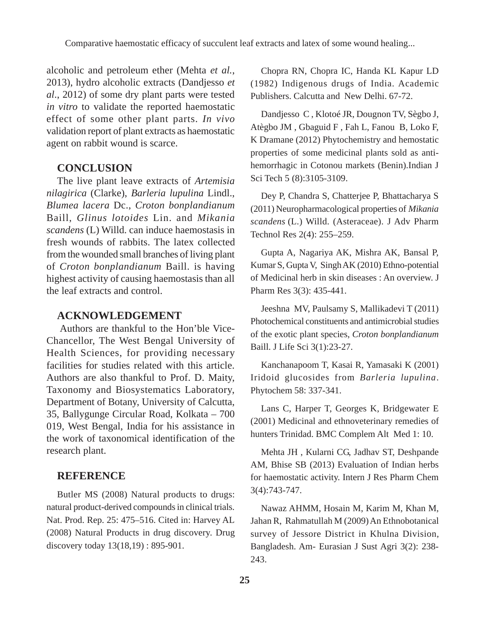alcoholic and petroleum ether (Mehta *et al.*, 2013), hydro alcoholic extracts (Dandjesso *et al*., 2012) of some dry plant parts were tested *in vitro* to validate the reported haemostatic effect of some other plant parts. *In vivo* validation report of plant extracts as haemostatic agent on rabbit wound is scarce.

## **CONCLUSION**

The live plant leave extracts of *Artemisia nilagirica* (Clarke), *Barleria lupulina* Lindl., *Blumea lacera* Dc., *Croton bonplandianum* Baill, *Glinus lotoides* Lin. and *Mikania scandens* (L) Willd. can induce haemostasis in fresh wounds of rabbits. The latex collected from the wounded small branches of living plant of *Croton bonplandianum* Baill. is having highest activity of causing haemostasis than all the leaf extracts and control.

#### **ACKNOWLEDGEMENT**

 Authors are thankful to the Hon'ble Vice-Chancellor, The West Bengal University of Health Sciences, for providing necessary facilities for studies related with this article. Authors are also thankful to Prof. D. Maity, Taxonomy and Biosystematics Laboratory, Department of Botany, University of Calcutta, 35, Ballygunge Circular Road, Kolkata – 700 019, West Bengal, India for his assistance in the work of taxonomical identification of the research plant.

### **REFERENCE**

Butler MS (2008) Natural products to drugs: natural product-derived compounds in clinical trials. Nat. Prod. Rep. 25: 475–516. Cited in: Harvey AL (2008) Natural Products in drug discovery. Drug discovery today 13(18,19) : 895-901.

Chopra RN, Chopra IC, Handa KL Kapur LD (1982) Indigenous drugs of India. Academic Publishers. Calcutta and New Delhi. 67-72.

Dandjesso C , Klotoé JR, Dougnon TV, Sègbo J, Atègbo JM , Gbaguid F , Fah L, Fanou B, Loko F, K Dramane (2012) Phytochemistry and hemostatic properties of some medicinal plants sold as antihemorrhagic in Cotonou markets (Benin).Indian J Sci Tech 5 (8):3105-3109.

Dey P, Chandra S, Chatterjee P, Bhattacharya S (2011) Neuropharmacological properties of *Mikania scandens* (L.) Willd. (Asteraceae). J Adv Pharm Technol Res 2(4): 255–259.

Gupta A, Nagariya AK, Mishra AK, Bansal P, Kumar S, Gupta V, Singh AK (2010) Ethno-potential of Medicinal herb in skin diseases : An overview. J Pharm Res 3(3): 435-441.

Jeeshna MV, Paulsamy S, Mallikadevi T (2011) Photochemical constituents and antimicrobial studies of the exotic plant species, *Croton bonplandianum* Baill. J Life Sci 3(1):23-27.

Kanchanapoom T, Kasai R, Yamasaki K (2001) Iridoid glucosides from *Barleria lupulina*. Phytochem 58: 337-341.

Lans C, Harper T, Georges K, Bridgewater E (2001) Medicinal and ethnoveterinary remedies of hunters Trinidad. BMC Complem Alt Med 1: 10.

Mehta JH , Kularni CG, Jadhav ST, Deshpande AM, Bhise SB (2013) Evaluation of Indian herbs for haemostatic activity. Intern J Res Pharm Chem 3(4):743-747.

Nawaz AHMM, Hosain M, Karim M, Khan M, Jahan R, Rahmatullah M (2009) An Ethnobotanical survey of Jessore District in Khulna Division, Bangladesh. Am- Eurasian J Sust Agri 3(2): 238- 243.